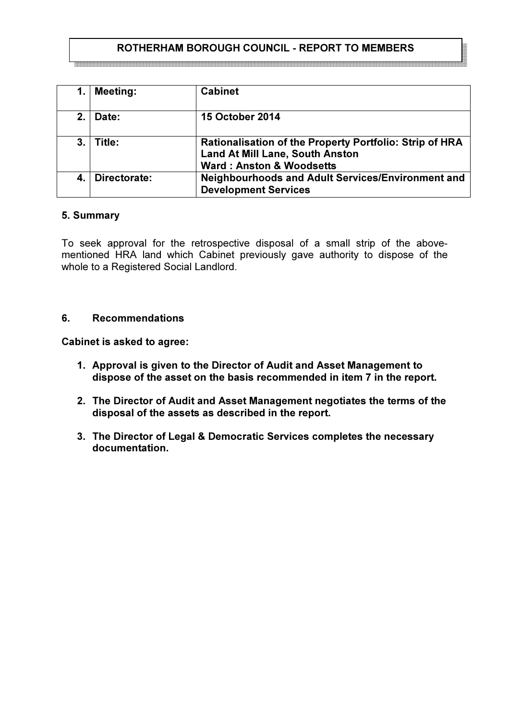# ROTHERHAM BOROUGH COUNCIL - REPORT TO MEMBERS

1. Meeting: Cabinet 2. Date: 15 October 2014 3. Title: Rationalisation of the Property Portfolio: Strip of HRA Land At Mill Lane, South Anston Ward : Anston & Woodsetts 4. Directorate: Neighbourhoods and Adult Services/Environment and Development Services

### 5. Summary

To seek approval for the retrospective disposal of a small strip of the abovementioned HRA land which Cabinet previously gave authority to dispose of the whole to a Registered Social Landlord.

### 6. Recommendations

Cabinet is asked to agree:

- 1. Approval is given to the Director of Audit and Asset Management to dispose of the asset on the basis recommended in item 7 in the report.
- 2. The Director of Audit and Asset Management negotiates the terms of the disposal of the assets as described in the report.
- 3. The Director of Legal & Democratic Services completes the necessary documentation.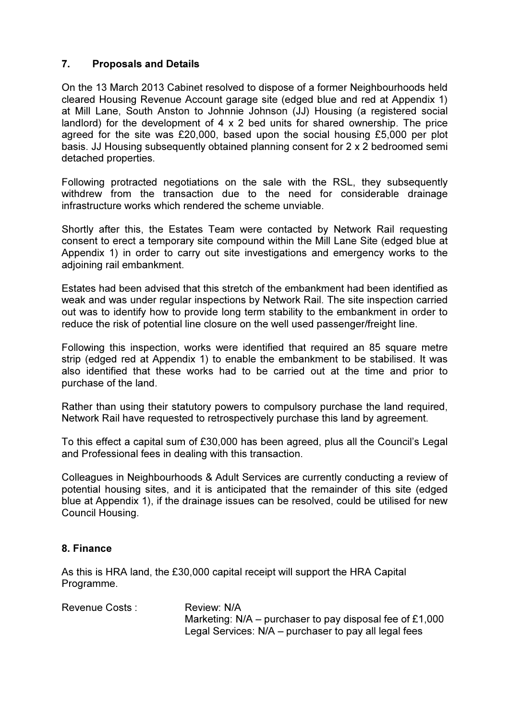## 7. Proposals and Details

On the 13 March 2013 Cabinet resolved to dispose of a former Neighbourhoods held cleared Housing Revenue Account garage site (edged blue and red at Appendix 1) at Mill Lane, South Anston to Johnnie Johnson (JJ) Housing (a registered social landlord) for the development of  $4 \times 2$  bed units for shared ownership. The price agreed for the site was £20,000, based upon the social housing £5,000 per plot basis. JJ Housing subsequently obtained planning consent for 2 x 2 bedroomed semi detached properties.

Following protracted negotiations on the sale with the RSL, they subsequently withdrew from the transaction due to the need for considerable drainage infrastructure works which rendered the scheme unviable.

Shortly after this, the Estates Team were contacted by Network Rail requesting consent to erect a temporary site compound within the Mill Lane Site (edged blue at Appendix 1) in order to carry out site investigations and emergency works to the adjoining rail embankment.

Estates had been advised that this stretch of the embankment had been identified as weak and was under regular inspections by Network Rail. The site inspection carried out was to identify how to provide long term stability to the embankment in order to reduce the risk of potential line closure on the well used passenger/freight line.

Following this inspection, works were identified that required an 85 square metre strip (edged red at Appendix 1) to enable the embankment to be stabilised. It was also identified that these works had to be carried out at the time and prior to purchase of the land.

Rather than using their statutory powers to compulsory purchase the land required, Network Rail have requested to retrospectively purchase this land by agreement.

To this effect a capital sum of £30,000 has been agreed, plus all the Council's Legal and Professional fees in dealing with this transaction.

Colleagues in Neighbourhoods & Adult Services are currently conducting a review of potential housing sites, and it is anticipated that the remainder of this site (edged blue at Appendix 1), if the drainage issues can be resolved, could be utilised for new Council Housing.

## 8. Finance

As this is HRA land, the £30,000 capital receipt will support the HRA Capital Programme.

| Revenue Costs : | Review: N/A                                                |
|-----------------|------------------------------------------------------------|
|                 | Marketing: $N/A$ – purchaser to pay disposal fee of £1,000 |
|                 | Legal Services: $N/A$ – purchaser to pay all legal fees    |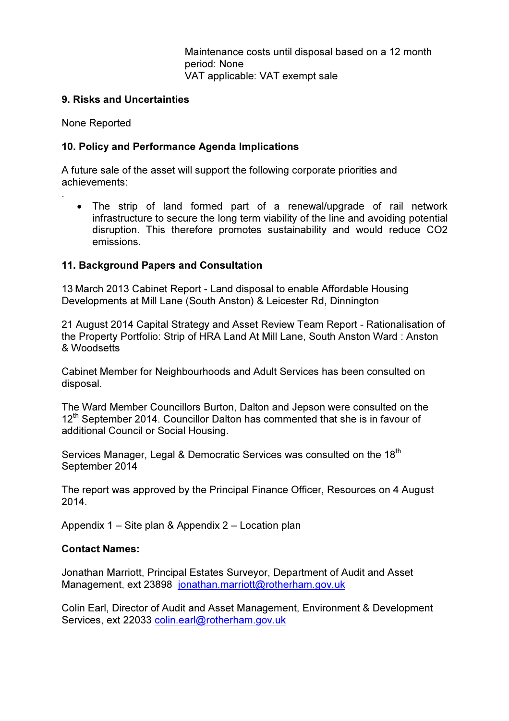Maintenance costs until disposal based on a 12 month period: None VAT applicable: VAT exempt sale

### 9. Risks and Uncertainties

None Reported

.

### 10. Policy and Performance Agenda Implications

A future sale of the asset will support the following corporate priorities and achievements:

• The strip of land formed part of a renewal/upgrade of rail network infrastructure to secure the long term viability of the line and avoiding potential disruption. This therefore promotes sustainability and would reduce CO2 emissions.

### 11. Background Papers and Consultation

13 March 2013 Cabinet Report - Land disposal to enable Affordable Housing Developments at Mill Lane (South Anston) & Leicester Rd, Dinnington

21 August 2014 Capital Strategy and Asset Review Team Report - Rationalisation of the Property Portfolio: Strip of HRA Land At Mill Lane, South Anston Ward : Anston & Woodsetts

Cabinet Member for Neighbourhoods and Adult Services has been consulted on disposal.

The Ward Member Councillors Burton, Dalton and Jepson were consulted on the  $12<sup>th</sup>$  September 2014. Councillor Dalton has commented that she is in favour of additional Council or Social Housing.

Services Manager, Legal & Democratic Services was consulted on the 18<sup>th</sup> September 2014

The report was approved by the Principal Finance Officer, Resources on 4 August 2014.

Appendix 1 – Site plan & Appendix 2 – Location plan

### Contact Names:

Jonathan Marriott, Principal Estates Surveyor, Department of Audit and Asset Management, ext 23898 jonathan.marriott@rotherham.gov.uk

Colin Earl, Director of Audit and Asset Management, Environment & Development Services, ext 22033 colin.earl@rotherham.gov.uk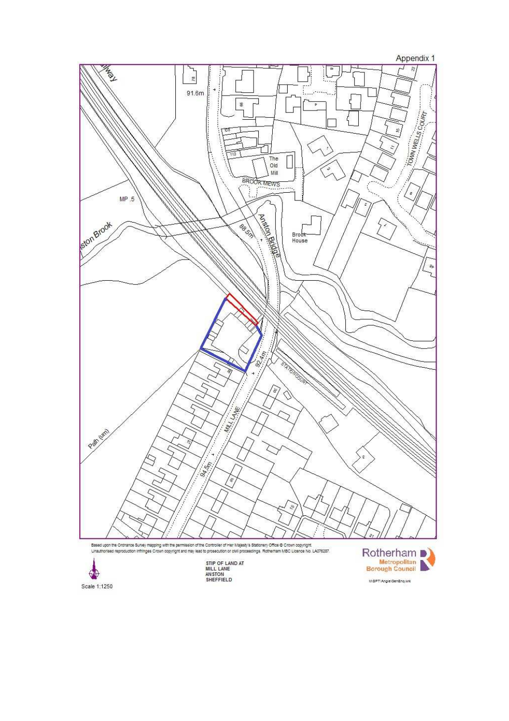